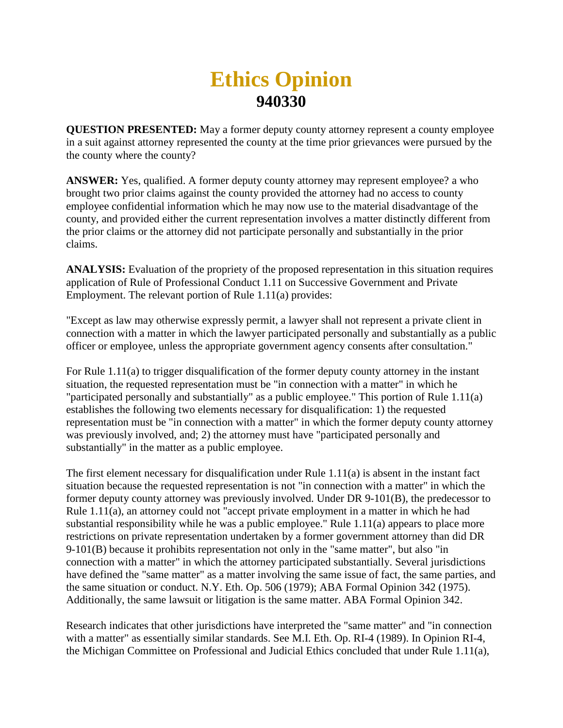## **Ethics Opinion 940330**

**QUESTION PRESENTED:** May a former deputy county attorney represent a county employee in a suit against attorney represented the county at the time prior grievances were pursued by the the county where the county?

**ANSWER:** Yes, qualified. A former deputy county attorney may represent employee? a who brought two prior claims against the county provided the attorney had no access to county employee confidential information which he may now use to the material disadvantage of the county, and provided either the current representation involves a matter distinctly different from the prior claims or the attorney did not participate personally and substantially in the prior claims.

**ANALYSIS:** Evaluation of the propriety of the proposed representation in this situation requires application of Rule of Professional Conduct 1.11 on Successive Government and Private Employment. The relevant portion of Rule 1.11(a) provides:

"Except as law may otherwise expressly permit, a lawyer shall not represent a private client in connection with a matter in which the lawyer participated personally and substantially as a public officer or employee, unless the appropriate government agency consents after consultation."

For Rule 1.11(a) to trigger disqualification of the former deputy county attorney in the instant situation, the requested representation must be "in connection with a matter" in which he "participated personally and substantially" as a public employee." This portion of Rule 1.11(a) establishes the following two elements necessary for disqualification: 1) the requested representation must be "in connection with a matter" in which the former deputy county attorney was previously involved, and; 2) the attorney must have "participated personally and substantially" in the matter as a public employee.

The first element necessary for disqualification under Rule 1.11(a) is absent in the instant fact situation because the requested representation is not "in connection with a matter" in which the former deputy county attorney was previously involved. Under DR 9-101(B), the predecessor to Rule 1.11(a), an attorney could not "accept private employment in a matter in which he had substantial responsibility while he was a public employee." Rule 1.11(a) appears to place more restrictions on private representation undertaken by a former government attorney than did DR 9-101(B) because it prohibits representation not only in the "same matter", but also "in connection with a matter" in which the attorney participated substantially. Several jurisdictions have defined the "same matter" as a matter involving the same issue of fact, the same parties, and the same situation or conduct. N.Y. Eth. Op. 506 (1979); ABA Formal Opinion 342 (1975). Additionally, the same lawsuit or litigation is the same matter. ABA Formal Opinion 342.

Research indicates that other jurisdictions have interpreted the "same matter" and "in connection with a matter" as essentially similar standards. See M.I. Eth. Op. RI-4 (1989). In Opinion RI-4, the Michigan Committee on Professional and Judicial Ethics concluded that under Rule 1.11(a),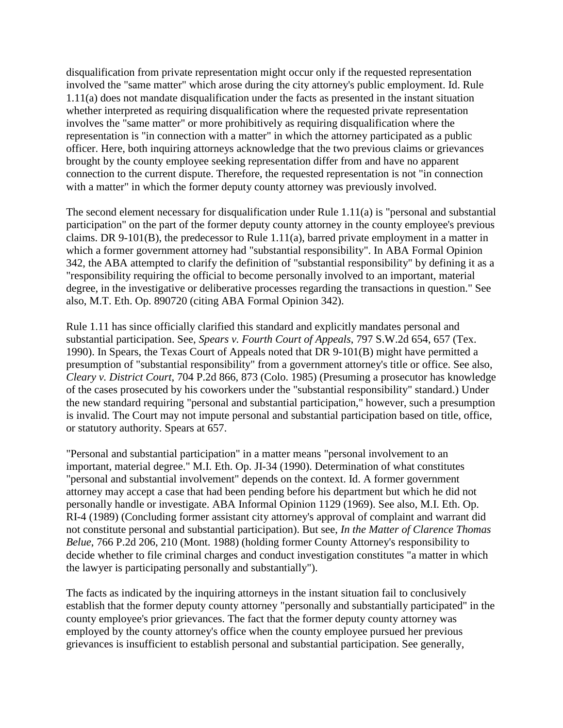disqualification from private representation might occur only if the requested representation involved the "same matter" which arose during the city attorney's public employment. Id. Rule 1.11(a) does not mandate disqualification under the facts as presented in the instant situation whether interpreted as requiring disqualification where the requested private representation involves the "same matter" or more prohibitively as requiring disqualification where the representation is "in connection with a matter" in which the attorney participated as a public officer. Here, both inquiring attorneys acknowledge that the two previous claims or grievances brought by the county employee seeking representation differ from and have no apparent connection to the current dispute. Therefore, the requested representation is not "in connection with a matter" in which the former deputy county attorney was previously involved.

The second element necessary for disqualification under Rule 1.11(a) is "personal and substantial participation" on the part of the former deputy county attorney in the county employee's previous claims. DR 9-101(B), the predecessor to Rule 1.11(a), barred private employment in a matter in which a former government attorney had "substantial responsibility". In ABA Formal Opinion 342, the ABA attempted to clarify the definition of "substantial responsibility" by defining it as a "responsibility requiring the official to become personally involved to an important, material degree, in the investigative or deliberative processes regarding the transactions in question." See also, M.T. Eth. Op. 890720 (citing ABA Formal Opinion 342).

Rule 1.11 has since officially clarified this standard and explicitly mandates personal and substantial participation. See, *Spears v. Fourth Court of Appeals*, 797 S.W.2d 654, 657 (Tex. 1990). In Spears, the Texas Court of Appeals noted that DR 9-101(B) might have permitted a presumption of "substantial responsibility" from a government attorney's title or office. See also, *Cleary v. District Court*, 704 P.2d 866, 873 (Colo. 1985) (Presuming a prosecutor has knowledge of the cases prosecuted by his coworkers under the "substantial responsibility" standard.) Under the new standard requiring "personal and substantial participation," however, such a presumption is invalid. The Court may not impute personal and substantial participation based on title, office, or statutory authority. Spears at 657.

"Personal and substantial participation" in a matter means "personal involvement to an important, material degree." M.I. Eth. Op. JI-34 (1990). Determination of what constitutes "personal and substantial involvement" depends on the context. Id. A former government attorney may accept a case that had been pending before his department but which he did not personally handle or investigate. ABA Informal Opinion 1129 (1969). See also, M.I. Eth. Op. RI-4 (1989) (Concluding former assistant city attorney's approval of complaint and warrant did not constitute personal and substantial participation). But see, *In the Matter of Clarence Thomas Belue*, 766 P.2d 206, 210 (Mont. 1988) (holding former County Attorney's responsibility to decide whether to file criminal charges and conduct investigation constitutes "a matter in which the lawyer is participating personally and substantially").

The facts as indicated by the inquiring attorneys in the instant situation fail to conclusively establish that the former deputy county attorney "personally and substantially participated" in the county employee's prior grievances. The fact that the former deputy county attorney was employed by the county attorney's office when the county employee pursued her previous grievances is insufficient to establish personal and substantial participation. See generally,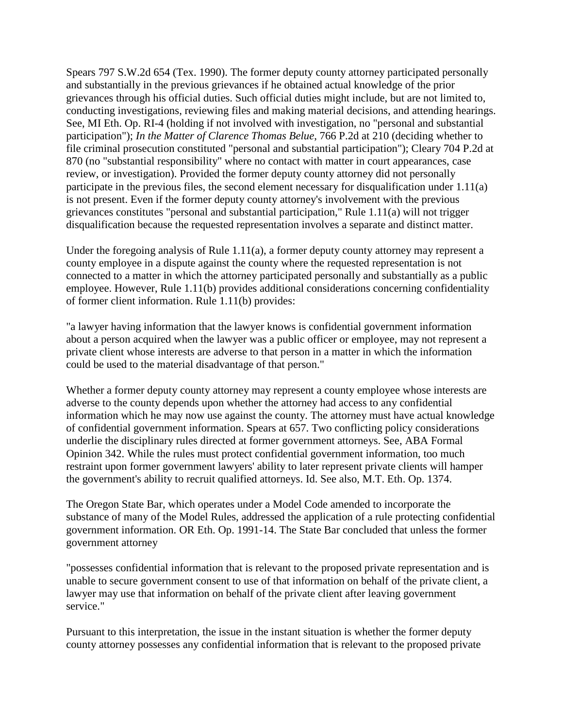Spears 797 S.W.2d 654 (Tex. 1990). The former deputy county attorney participated personally and substantially in the previous grievances if he obtained actual knowledge of the prior grievances through his official duties. Such official duties might include, but are not limited to, conducting investigations, reviewing files and making material decisions, and attending hearings. See, MI Eth. Op. RI-4 (holding if not involved with investigation, no "personal and substantial participation"); *In the Matter of Clarence Thomas Belue*, 766 P.2d at 210 (deciding whether to file criminal prosecution constituted "personal and substantial participation"); Cleary 704 P.2d at 870 (no "substantial responsibility" where no contact with matter in court appearances, case review, or investigation). Provided the former deputy county attorney did not personally participate in the previous files, the second element necessary for disqualification under 1.11(a) is not present. Even if the former deputy county attorney's involvement with the previous grievances constitutes "personal and substantial participation," Rule 1.11(a) will not trigger disqualification because the requested representation involves a separate and distinct matter.

Under the foregoing analysis of Rule 1.11(a), a former deputy county attorney may represent a county employee in a dispute against the county where the requested representation is not connected to a matter in which the attorney participated personally and substantially as a public employee. However, Rule 1.11(b) provides additional considerations concerning confidentiality of former client information. Rule 1.11(b) provides:

"a lawyer having information that the lawyer knows is confidential government information about a person acquired when the lawyer was a public officer or employee, may not represent a private client whose interests are adverse to that person in a matter in which the information could be used to the material disadvantage of that person."

Whether a former deputy county attorney may represent a county employee whose interests are adverse to the county depends upon whether the attorney had access to any confidential information which he may now use against the county. The attorney must have actual knowledge of confidential government information. Spears at 657. Two conflicting policy considerations underlie the disciplinary rules directed at former government attorneys. See, ABA Formal Opinion 342. While the rules must protect confidential government information, too much restraint upon former government lawyers' ability to later represent private clients will hamper the government's ability to recruit qualified attorneys. Id. See also, M.T. Eth. Op. 1374.

The Oregon State Bar, which operates under a Model Code amended to incorporate the substance of many of the Model Rules, addressed the application of a rule protecting confidential government information. OR Eth. Op. 1991-14. The State Bar concluded that unless the former government attorney

"possesses confidential information that is relevant to the proposed private representation and is unable to secure government consent to use of that information on behalf of the private client, a lawyer may use that information on behalf of the private client after leaving government service."

Pursuant to this interpretation, the issue in the instant situation is whether the former deputy county attorney possesses any confidential information that is relevant to the proposed private